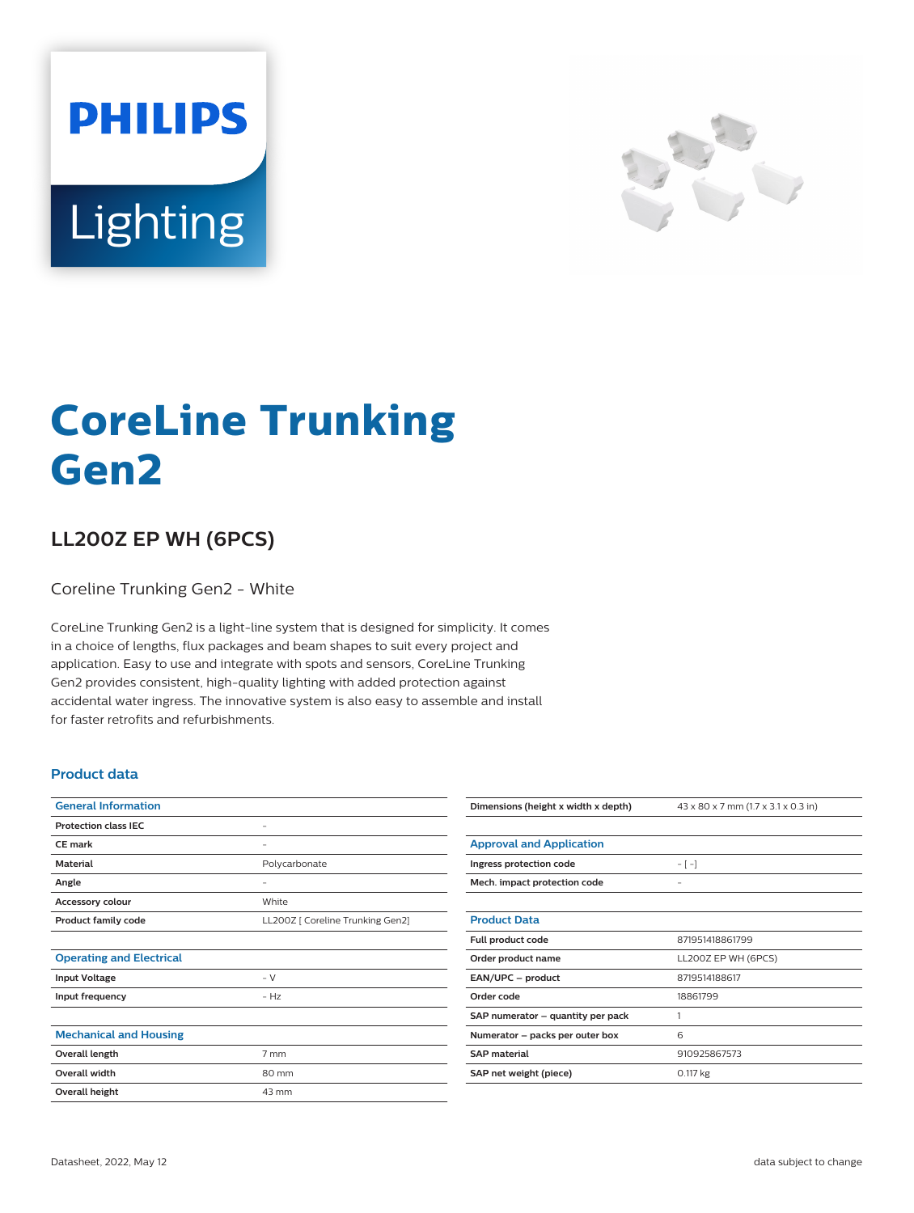



## **CoreLine Trunking Gen2**

## **LL200Z EP WH (6PCS)**

Coreline Trunking Gen2 - White

CoreLine Trunking Gen2 is a light-line system that is designed for simplicity. It comes in a choice of lengths, flux packages and beam shapes to suit every project and application. Easy to use and integrate with spots and sensors, CoreLine Trunking Gen2 provides consistent, high-quality lighting with added protection against accidental water ingress. The innovative system is also easy to assemble and install for faster retrofits and refurbishments.

## **Product data**

| <b>General Information</b>      |                                  |
|---------------------------------|----------------------------------|
| <b>Protection class IEC</b>     | -                                |
| <b>CE</b> mark                  | -                                |
| <b>Material</b>                 | Polycarbonate                    |
| Angle                           | -                                |
| <b>Accessory colour</b>         | White                            |
| <b>Product family code</b>      | LL200Z [ Coreline Trunking Gen2] |
|                                 |                                  |
| <b>Operating and Electrical</b> |                                  |
| <b>Input Voltage</b>            | $- V$                            |
| Input frequency                 | $- H7$                           |
|                                 |                                  |
| <b>Mechanical and Housing</b>   |                                  |
| Overall length                  | 7 mm                             |
| <b>Overall width</b>            | 80 mm                            |
| Overall height                  | 43 mm                            |

| Dimensions (height x width x depth) | 43 x 80 x 7 mm (1.7 x 3.1 x 0.3 in) |
|-------------------------------------|-------------------------------------|
|                                     |                                     |
| <b>Approval and Application</b>     |                                     |
| Ingress protection code             | $-[-]$                              |
| Mech. impact protection code        | $\qquad \qquad -$                   |
|                                     |                                     |
| <b>Product Data</b>                 |                                     |
| Full product code                   | 871951418861799                     |
| Order product name                  | LL200Z EP WH (6PCS)                 |
| EAN/UPC - product                   | 8719514188617                       |
| Order code                          | 18861799                            |
| SAP numerator – quantity per pack   | 1                                   |
| Numerator – packs per outer box     | 6                                   |
| <b>SAP</b> material                 | 910925867573                        |
| SAP net weight (piece)              | 0.117 kg                            |
|                                     |                                     |